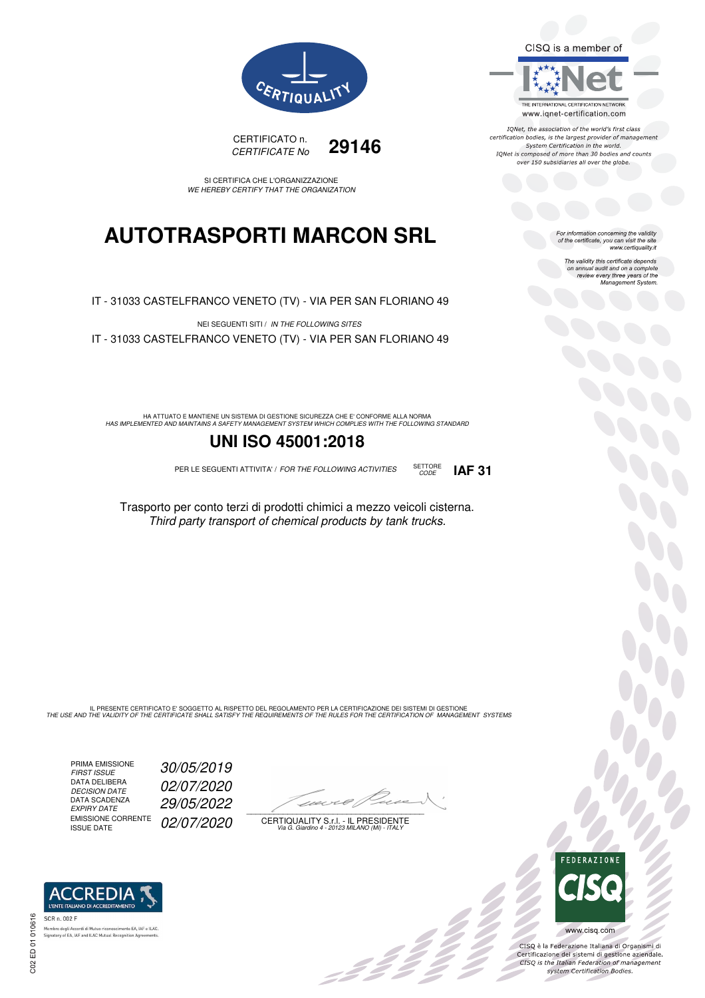CISQ is a member of



IQNet, the association of the world's first class certification bodies, is the largest provider of management System Certification in the world.<br>IQNet is composed of more than 30 bodies and counts over 150 subsidiaries all over the globe.

> For information concerning the validity<br>of the certificate, you can visit the site www.certiquality.it

> > The validity this certificate depends on annual audit and on a complete<br>on annual audit and on a complete<br>review every three years of the<br>Management System.





SI CERTIFICA CHE L'ORGANIZZAZIONE WE HEREBY CERTIFY THAT THE ORGANIZATION

## **AUTOTRASPORTI MARCON SRL**

IT - 31033 CASTELFRANCO VENETO (TV) - VIA PER SAN FLORIANO 49

NEI SEGUENTI SITI / IN THE FOLLOWING SITES IT - 31033 CASTELFRANCO VENETO (TV) - VIA PER SAN FLORIANO 49

HA ATTUATO E MANTIENE UN SISTEMA DI GESTIONE SICUREZZA CHE E' CONFORME ALLA NORMA<br>HAS IMPLEMENTED AND MAINTAINS A SAFETY MANAGEMENT SYSTEM WHICH COMPLIES WITH THE FOLLOWING STANDARD

### **UNI ISO 45001:2018**

PER LE SEGUENTI ATTIVITA' / FOR THE FOLLOWING ACTIVITIES SETTORE



Trasporto per conto terzi di prodotti chimici a mezzo veicoli cisterna. Third party transport of chemical products by tank trucks.

IL PRESENTE CERTIFICATO E' SOGGETTO AL RISPETTO DEL REGOLAMENTO PER LA CERTIFICAZIONE DEI SISTEMI DI GESTIONE<br>THE USE AND THE VALIDITY OF THE CERTIFICATE SHALL SATISFY THE REQUIREMENTS OF THE RULES FOR THE CERTIFICATION OF

PRIMA EMISSIONE FIRST ISSUE 30/05/2019 DATA DELIBERA DECISION DATE<br>DATA SCADENZA<br>EXPIRY DATE EMISSIONE CORRENTE<br>ISSUE DATE

**REDIA I'ENTE ITALIANO DI ACCREDITAM** 

nento EA, IAF e ILAC

.<br>Membro degli Accordi di Mutuo riconoscimento EA, IAF<br>Signatory of EA, IAF and ILAC Mutual Recognition Agree

02/07/2020 EXPIRY DATE 29/05/2022 02/07/2020

 $\overline{\phantom{a}}$ 

-22 Z Z Z

CERTIQUALITY S.r.l. - IL PRESIDENTE Via G. Giardino 4 - 20123 MILANO (MI) - ITALY



 $b^0$ 

CISQ è la Federazione Italiana di Organismi di Crista e la Federazione Transma di Organismi di<br>Certificazione dei sistemi di gestione aziendale.<br>CISQ is the Italian Federation of management system Certification Bodies.

SCR n. 002 F